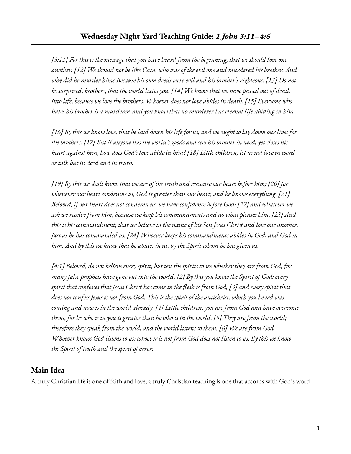*[3:11] For this is the message that you have heard from the beginning, that we should love one* another. [12] We should not be like Cain, who was of the evil one and murdered his brother. And *why did he murder him? Because his own deeds were evil and his brother's righteous. [13] Do not be surprised, brothers, that the world hates you. [14] We know that we have passed out of death into life, because we love the brothers. Whoever does not love abides in death. [15] Everyone who hates his brother is a murderer, and you know that no murderer has eternal life abiding in him.*

[16] By this we know love, that he laid down his life for us, and we ought to lay down our lives for the brothers. [17] But if anyone has the world's goods and sees his brother in need, yet closes his heart against him, how does God's love abide in him? [18] Little children, let us not love in word *or talk but in deed and in truth.*

 $[19]$  By this we shall know that we are of the truth and reassure our heart before him; [20] for *whenever our heart condemns us, God is greater than our heart, and he knows everything. [21] Beloved, if our heart does not condemn us, we have confidence before God; [22] and whatever we ask we receive from him, because we keep his commandments and do what pleases him. [23] And* this is his commandment, that we believe in the name of his Son Jesus Christ and love one another, *just as he has commanded us. [24] Whoever keeps his commandments abides in God, and God in him. And by this we know that he abides in us, by the Spirit whom he has given us.*

[4:1] Beloved, do not believe every spirit, but test the spirits to see whether they are from God, for many false prophets have gone out into the world. [2] By this you know the Spirit of God: every spirit that confesses that Jesus Christ has come in the flesh is from God, [3] and every spirit that does not confess Jesus is not from God. This is the spirit of the antichrist, which you heard was *coming and now is in the world already. [4] Little children, you are from God and have overcome* them, for he who is in you is greater than he who is in the world. [5] They are from the world; *therefore they speak from the world, and the world listens to them. [6] We are from God.* Whoever knows God listens to us; whoever is not from God does not listen to us. By this we know *the Spirit of truth and the spirit of error.*

## **Main Idea**

A truly Christian life is one of faith and love; a truly Christian teaching is one that accords with God's word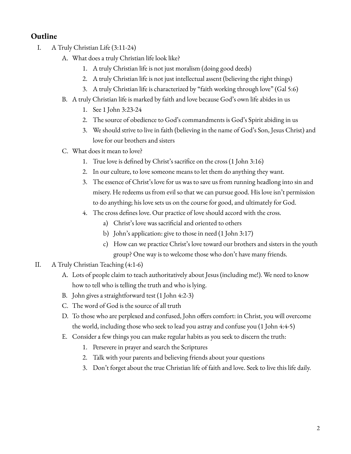## **Outline**

- I. A Truly Christian Life (3:11-24)
	- A. What does a truly Christian life look like?
		- 1. A truly Christian life is not just moralism (doing good deeds)
		- 2. A truly Christian life is not just intellectual assent (believing the right things)
		- 3. A truly Christian life is characterized by "faith working through love" (Gal 5:6)
	- B. A truly Christian life is marked by faith and love because God's own life abides in us
		- 1. See 1 John 3:23-24
		- 2. The source of obedience to God's commandments is God's Spirit abiding in us
		- 3. We should strive to live in faith (believing in the name of God's Son, Jesus Christ) and love for our brothers and sisters
	- C. What does it mean to love?
		- 1. True love is defined by Christ's sacrifice on the cross (1 John 3:16)
		- 2. In our culture, to love someone means to let them do anything they want.
		- 3. The essence of Christ's love for us was to save us from running headlong into sin and misery. He redeems us from evil so that we can pursue good. His love isn't permission to do anything; his love sets us on the course for good, and ultimately for God.
		- 4. The cross defines love. Our practice of love should accord with the cross.
			- a) Christ's love was sacrificial and oriented to others
			- b) John's application: give to those in need (1 John 3:17)
			- c) How can we practice Christ's love toward our brothers and sisters in the youth group? One way is to welcome those who don't have many friends.
- II. A Truly Christian Teaching (4:1-6)
	- A. Lots of people claim to teach authoritatively about Jesus (including me!). We need to know how to tell who is telling the truth and who is lying.
	- B. John gives a straightforward test (1 John 4:2-3)
	- C. The word of God is the source of all truth
	- D. To those who are perplexed and confused, John offers comfort: in Christ, you will overcome the world, including those who seek to lead you astray and confuse you (1 John 4:4-5)
	- E. Consider a few things you can make regular habits as you seek to discern the truth:
		- 1. Persevere in prayer and search the Scriptures
		- 2. Talk with your parents and believing friends about your questions
		- 3. Don't forget about the true Christian life of faith and love. Seek to live this life daily.